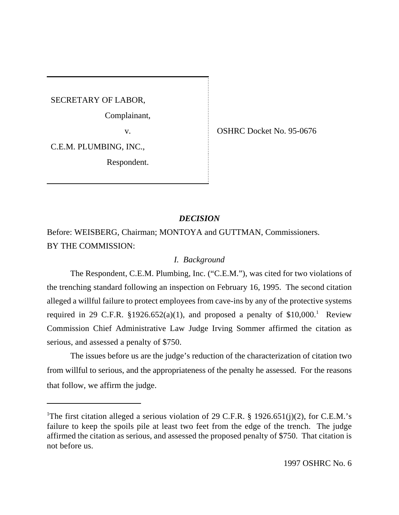SECRETARY OF LABOR,

Complainant,

C.E.M. PLUMBING, INC.,

Respondent.

v. **OSHRC Docket No. 95-0676** 

# *DECISION*

Before: WEISBERG, Chairman; MONTOYA and GUTTMAN, Commissioners. BY THE COMMISSION:

## *I. Background*

The Respondent, C.E.M. Plumbing, Inc. ("C.E.M."), was cited for two violations of the trenching standard following an inspection on February 16, 1995. The second citation alleged a willful failure to protect employees from cave-ins by any of the protective systems required in 29 C.F.R.  $$1926.652(a)(1)$ , and proposed a penalty of  $$10,000$ .<sup>1</sup> Review Commission Chief Administrative Law Judge Irving Sommer affirmed the citation as serious, and assessed a penalty of \$750.

The issues before us are the judge's reduction of the characterization of citation two from willful to serious, and the appropriateness of the penalty he assessed. For the reasons that follow, we affirm the judge.

<sup>&</sup>lt;sup>1</sup>The first citation alleged a serious violation of 29 C.F.R. § 1926.651(j)(2), for C.E.M.'s failure to keep the spoils pile at least two feet from the edge of the trench. The judge affirmed the citation as serious, and assessed the proposed penalty of \$750. That citation is not before us.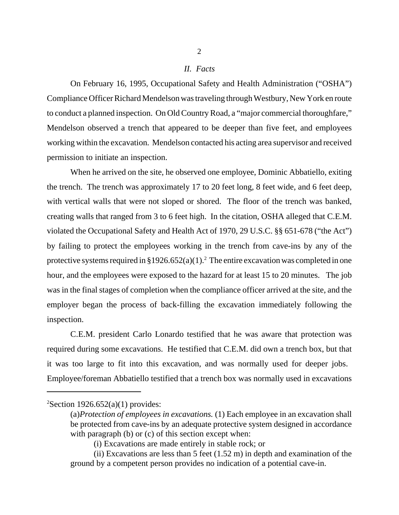#### *II. Facts*

On February 16, 1995, Occupational Safety and Health Administration ("OSHA") Compliance Officer Richard Mendelson was traveling through Westbury, New York en route to conduct a planned inspection. On Old Country Road, a "major commercial thoroughfare," Mendelson observed a trench that appeared to be deeper than five feet, and employees working within the excavation. Mendelson contacted his acting area supervisor and received permission to initiate an inspection.

When he arrived on the site, he observed one employee, Dominic Abbatiello, exiting the trench. The trench was approximately 17 to 20 feet long, 8 feet wide, and 6 feet deep, with vertical walls that were not sloped or shored. The floor of the trench was banked, creating walls that ranged from 3 to 6 feet high. In the citation, OSHA alleged that C.E.M. violated the Occupational Safety and Health Act of 1970, 29 U.S.C. §§ 651-678 ("the Act") by failing to protect the employees working in the trench from cave-ins by any of the protective systems required in §1926.652(a)(1).<sup>2</sup> The entire excavation was completed in one hour, and the employees were exposed to the hazard for at least 15 to 20 minutes. The job was in the final stages of completion when the compliance officer arrived at the site, and the employer began the process of back-filling the excavation immediately following the inspection.

C.E.M. president Carlo Lonardo testified that he was aware that protection was required during some excavations. He testified that C.E.M. did own a trench box, but that it was too large to fit into this excavation, and was normally used for deeper jobs. Employee/foreman Abbatiello testified that a trench box was normally used in excavations

<sup>&</sup>lt;sup>2</sup>Section 1926.652(a)(1) provides:

<sup>(</sup>a)*Protection of employees in excavations.* (1) Each employee in an excavation shall be protected from cave-ins by an adequate protective system designed in accordance with paragraph (b) or (c) of this section except when:

<sup>(</sup>i) Excavations are made entirely in stable rock; or

<sup>(</sup>ii) Excavations are less than 5 feet (1.52 m) in depth and examination of the ground by a competent person provides no indication of a potential cave-in.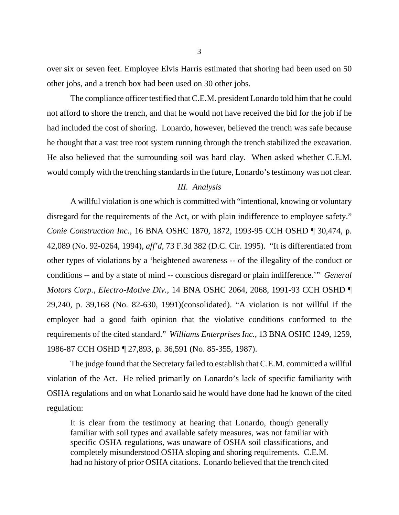over six or seven feet. Employee Elvis Harris estimated that shoring had been used on 50 other jobs, and a trench box had been used on 30 other jobs.

The compliance officer testified that C.E.M. president Lonardo told him that he could not afford to shore the trench, and that he would not have received the bid for the job if he had included the cost of shoring. Lonardo, however, believed the trench was safe because he thought that a vast tree root system running through the trench stabilized the excavation. He also believed that the surrounding soil was hard clay. When asked whether C.E.M. would comply with the trenching standards in the future, Lonardo's testimony was not clear.

#### *III. Analysis*

A willful violation is one which is committed with "intentional, knowing or voluntary disregard for the requirements of the Act, or with plain indifference to employee safety." *Conie Construction Inc.*, 16 BNA OSHC 1870, 1872, 1993-95 CCH OSHD ¶ 30,474, p. 42,089 (No. 92-0264, 1994), *aff'd,* 73 F.3d 382 (D.C. Cir. 1995). "It is differentiated from other types of violations by a 'heightened awareness -- of the illegality of the conduct or conditions -- and by a state of mind -- conscious disregard or plain indifference.'" *General Motors Corp., Electro-Motive Div.*, 14 BNA OSHC 2064, 2068, 1991-93 CCH OSHD ¶ 29,240, p. 39,168 (No. 82-630, 1991)(consolidated). "A violation is not willful if the employer had a good faith opinion that the violative conditions conformed to the requirements of the cited standard." *Williams Enterprises Inc.*, 13 BNA OSHC 1249, 1259, 1986-87 CCH OSHD ¶ 27,893, p. 36,591 (No. 85-355, 1987).

The judge found that the Secretary failed to establish that C.E.M. committed a willful violation of the Act. He relied primarily on Lonardo's lack of specific familiarity with OSHA regulations and on what Lonardo said he would have done had he known of the cited regulation:

It is clear from the testimony at hearing that Lonardo, though generally familiar with soil types and available safety measures, was not familiar with specific OSHA regulations, was unaware of OSHA soil classifications, and completely misunderstood OSHA sloping and shoring requirements. C.E.M. had no history of prior OSHA citations. Lonardo believed that the trench cited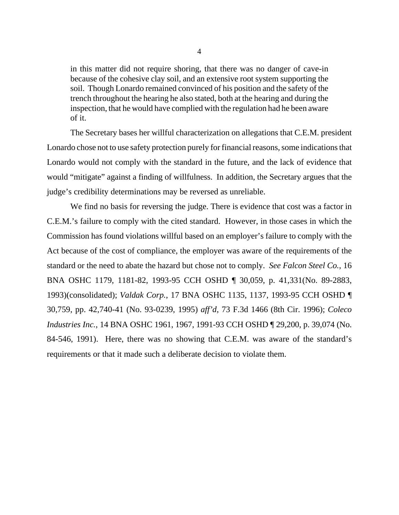in this matter did not require shoring, that there was no danger of cave-in because of the cohesive clay soil, and an extensive root system supporting the soil. Though Lonardo remained convinced of his position and the safety of the trench throughout the hearing he also stated, both at the hearing and during the inspection, that he would have complied with the regulation had he been aware of it.

The Secretary bases her willful characterization on allegations that C.E.M. president Lonardo chose not to use safety protection purely for financial reasons, some indications that Lonardo would not comply with the standard in the future, and the lack of evidence that would "mitigate" against a finding of willfulness. In addition, the Secretary argues that the judge's credibility determinations may be reversed as unreliable.

We find no basis for reversing the judge. There is evidence that cost was a factor in C.E.M.'s failure to comply with the cited standard. However, in those cases in which the Commission has found violations willful based on an employer's failure to comply with the Act because of the cost of compliance, the employer was aware of the requirements of the standard or the need to abate the hazard but chose not to comply. *See Falcon Steel Co.*, 16 BNA OSHC 1179, 1181-82, 1993-95 CCH OSHD ¶ 30,059, p. 41,331(No. 89-2883, 1993)(consolidated); *Valdak Corp.*, 17 BNA OSHC 1135, 1137, 1993-95 CCH OSHD ¶ 30,759, pp. 42,740-41 (No. 93-0239, 1995) *aff'd*, 73 F.3d 1466 (8th Cir. 1996); *Coleco Industries Inc.*, 14 BNA OSHC 1961, 1967, 1991-93 CCH OSHD ¶ 29,200, p. 39,074 (No. 84-546, 1991). Here, there was no showing that C.E.M. was aware of the standard's requirements or that it made such a deliberate decision to violate them.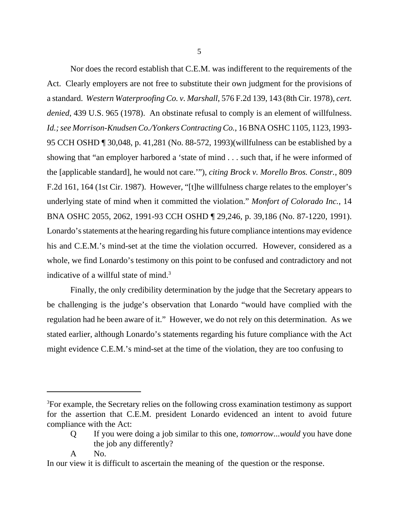Nor does the record establish that C.E.M. was indifferent to the requirements of the Act. Clearly employers are not free to substitute their own judgment for the provisions of a standard. *Western Waterproofing Co. v. Marshall*, 576 F.2d 139, 143 (8th Cir. 1978), *cert. denied*, 439 U.S. 965 (1978). An obstinate refusal to comply is an element of willfulness. *Id.; see Morrison-Knudsen Co./Yonkers Contracting Co.*, 16 BNA OSHC 1105, 1123, 1993- 95 CCH OSHD ¶ 30,048, p. 41,281 (No. 88-572, 1993)(willfulness can be established by a showing that "an employer harbored a 'state of mind . . . such that, if he were informed of the [applicable standard], he would not care.'"), *citing Brock v. Morello Bros. Constr.*, 809 F.2d 161, 164 (1st Cir. 1987). However, "[t]he willfulness charge relates to the employer's underlying state of mind when it committed the violation." *Monfort of Colorado Inc.*, 14 BNA OSHC 2055, 2062, 1991-93 CCH OSHD ¶ 29,246, p. 39,186 (No. 87-1220, 1991). Lonardo's statements at the hearing regarding his future compliance intentions may evidence his and C.E.M.'s mind-set at the time the violation occurred. However, considered as a whole, we find Lonardo's testimony on this point to be confused and contradictory and not indicative of a willful state of mind. $3$ 

Finally, the only credibility determination by the judge that the Secretary appears to be challenging is the judge's observation that Lonardo "would have complied with the regulation had he been aware of it." However, we do not rely on this determination. As we stated earlier, although Lonardo's statements regarding his future compliance with the Act might evidence C.E.M.'s mind-set at the time of the violation, they are too confusing to

<sup>&</sup>lt;sup>3</sup>For example, the Secretary relies on the following cross examination testimony as support for the assertion that C.E.M. president Lonardo evidenced an intent to avoid future compliance with the Act:

Q If you were doing a job similar to this one, *tomorrow*...*would* you have done the job any differently?

A No.

In our view it is difficult to ascertain the meaning of the question or the response.